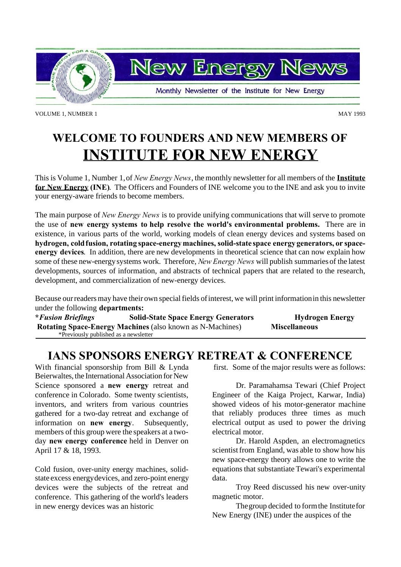

VOLUME 1, NUMBER 1 MAY 1993

# **WELCOME TO FOUNDERS AND NEW MEMBERS OF INSTITUTE FOR NEW ENERGY**

This is Volume 1, Number 1,of *New Energy News*, the monthly newsletter for all members of the **Institute for New Energy (INE)**. The Officers and Founders of INE welcome you to the INE and ask you to invite your energy-aware friends to become members.

The main purpose of *New Energy News* is to provide unifying communications that will serve to promote the use of **new energy systems to help resolve the world's environmental problems.** There are in existence, in various parts of the world, working models of clean energy devices and systems based on **hydrogen, coldfusion, rotating space-energymachines, solid-state space energy generators, or spaceenergy devices**. In addition, there are new developments in theoretical science that can now explain how some of these new-energysystems work. Therefore, *New Energy News* will publish summaries of the latest developments, sources of information, and abstracts of technical papers that are related to the research, development, and commercialization of new-energy devices.

Because our readers may have their own special fields of interest, we will print information in this newsletter under the following **departments:**

**\****Fusion Briefings* **Solid-State Space Energy Generators Hydrogen Energy Rotating Space-Energy Machines** (also known as N-Machines) **Miscellaneous** \*Previously published as a newsletter

# **IANS SPONSORS ENERGY RETREAT & CONFERENCE**

With financial sponsorship from Bill & Lynda Beierwaltes, the International Association for New Science sponsored a **new energy** retreat and conference in Colorado. Some twenty scientists, inventors, and writers from various countries gathered for a two-day retreat and exchange of information on **new energy**. Subsequently, members of this group were the speakers at a twoday **new energy conference** held in Denver on April 17 & 18, 1993.

Cold fusion, over-unity energy machines, solidstate excess energydevices, and zero-point energy devices were the subjects of the retreat and conference. This gathering of the world's leaders in new energy devices was an historic

first. Some of the major results were as follows:

Dr. Paramahamsa Tewari (Chief Project Engineer of the Kaiga Project, Karwar, India) showed videos of his motor-generator machine that reliably produces three times as much electrical output as used to power the driving electrical motor.

Dr. Harold Aspden, an electromagnetics scientist from England, was able to show how his new space-energy theory allows one to write the equations that substantiate Tewari's experimental data.

Troy Reed discussed his new over-unity magnetic motor.

Thegroup decided to formthe Institutefor New Energy (INE) under the auspices of the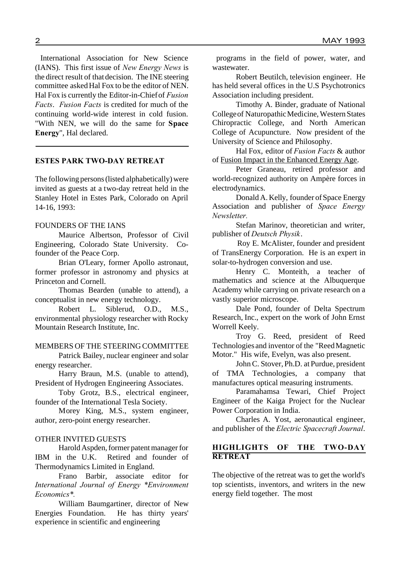International Association for New Science (IANS). This first issue of *New Energy News* is the direct result of that decision. The INE steering committee askedHal Fox to be the editor of NEN. Hal Fox is currently the Editor-in-Chiefof *Fusion Facts*. *Fusion Facts* is credited for much of the continuing world-wide interest in cold fusion. "With NEN, we will do the same for **Space Energy**", Hal declared.

### **ESTES PARK TWO-DAY RETREAT**

The following persons (listed alphabetically) were invited as guests at a two-day retreat held in the Stanley Hotel in Estes Park, Colorado on April 14-16, 1993:

## FOUNDERS OF THE IANS

Maurice Albertson, Professor of Civil Engineering, Colorado State University. Cofounder of the Peace Corp.

Brian O'Leary, former Apollo astronaut, former professor in astronomy and physics at Princeton and Cornell.

Thomas Bearden (unable to attend), a conceptualist in new energy technology.

Robert L. Siblerud, O.D., M.S., environmental physiology researcher with Rocky Mountain Research Institute, Inc.

# MEMBERS OF THE STEERING COMMITTEE

Patrick Bailey, nuclear engineer and solar energy researcher.

Harry Braun, M.S. (unable to attend), President of Hydrogen Engineering Associates.

Toby Grotz, B.S., electrical engineer, founder of the International Tesla Society.

Morey King, M.S., system engineer, author, zero-point energy researcher.

# OTHER INVITED GUESTS

Harold Aspden, former patent manager for IBM in the U.K. Retired and founder of Thermodynamics Limited in England.

Frano Barbir, associate editor for *International Journal of Energy \*Environment Economics\*.*

William Baumgartiner, director of New Energies Foundation. He has thirty years' experience in scientific and engineering

programs in the field of power, water, and wastewater.

Robert Beutilch, television engineer. He has held several offices in the U.S Psychotronics Association including president.

Timothy A. Binder, graduate of National College of Naturopathic Medicine, Western States Chiropractic College, and North American College of Acupuncture. Now president of the University of Science and Philosophy.

Hal Fox, editor of *Fusion Facts* & author of Fusion Impact in the Enhanced Energy Age.

Peter Graneau, retired professor and world-recognized authority on Ampère forces in electrodynamics.

Donald A. Kelly, founder of Space Energy Association and publisher of *Space Energy Newsletter.*

Stefan Marinov, theoretician and writer, publisher of *Deutsch Physik*.

Roy E. McAlister, founder and president of TransEnergy Corporation. He is an expert in solar-to-hydrogen conversion and use.

Henry C. Monteith, a teacher of mathematics and science at the Albuquerque Academy while carrying on private research on a vastly superior microscope.

Dale Pond, founder of Delta Spectrum Research, Inc., expert on the work of John Ernst Worrell Keely.

Troy G. Reed, president of Reed Technologies and inventor of the "ReedMagnetic Motor." His wife, Evelyn, was also present.

John C. Stover, Ph.D. at Purdue, president of TMA Technologies, a company that manufactures optical measuring instruments.

Paramahamsa Tewari, Chief Project Engineer of the Kaiga Project for the Nuclear Power Corporation in India.

Charles A. Yost, aeronautical engineer, and publisher of the *Electric Spacecraft Journal*.

# **HIGHLIGHTS OF THE TWO-DAY RETREAT**

The objective of the retreat was to get the world's top scientists, inventors, and writers in the new energy field together. The most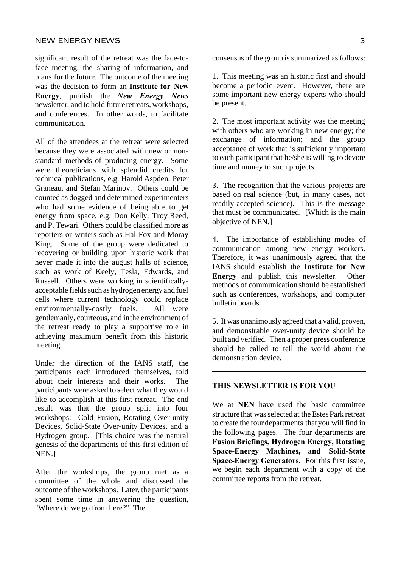significant result of the retreat was the face-toface meeting, the sharing of information, and plans for the future. The outcome of the meeting was the decision to form an **Institute for New Energy**, publish the *New Energy News* newsletter, and to hold futureretreats, workshops, and conferences. In other words, to facilitate communication.

All of the attendees at the retreat were selected because they were associated with new or nonstandard methods of producing energy. Some were theoreticians with splendid credits for technical publications, e.g. Harold Aspden, Peter Graneau, and Stefan Marinov. Others could be counted as dogged and determined experimenters who had some evidence of being able to get energy from space, e.g. Don Kelly, Troy Reed, and P. Tewari. Others could be classified more as reporters or writers such as Hal Fox and Moray King. Some of the group were dedicated to recovering or building upon historic work that never made it into the august halls of science, such as work of Keely, Tesla, Edwards, and Russell. Others were working in scientificallyacceptable fields such as hydrogen energy and fuel cells where current technology could replace environmentally-costly fuels. All were gentlemanly, courteous, and inthe environment of the retreat ready to play a supportive role in achieving maximum benefit from this historic meeting.

Under the direction of the IANS staff, the participants each introduced themselves, told about their interests and their works. The participants were asked to select what they would like to accomplish at this first retreat. The end result was that the group split into four workshops: Cold Fusion, Rotating Over-unity Devices, Solid-State Over-unity Devices, and a Hydrogen group. [This choice was the natural genesis of the departments of this first edition of NEN.]

After the workshops, the group met as a committee of the whole and discussed the outcome of the workshops. Later, the participants spent some time in answering the question, "Where do we go from here?" The

consensus of the group is summarized as follows:

1. This meeting was an historic first and should become a periodic event. However, there are some important new energy experts who should be present.

2. The most important activity was the meeting with others who are working in new energy; the exchange of information; and the group acceptance of work that is sufficiently important to each participant that he/she is willing to devote time and money to such projects.

3. The recognition that the various projects are based on real science (but, in many cases, not readily accepted science). This is the message that must be communicated. [Which is the main objective of NEN.]

4. The importance of establishing modes of communication among new energy workers. Therefore, it was unanimously agreed that the IANS should establish the **Institute for New Energy** and publish this newsletter. Other methods of communication should be established such as conferences, workshops, and computer bulletin boards.

5. It was unanimously agreed that a valid, proven, and demonstrable over-unity device should be built and verified. Then a proper press conference should be called to tell the world about the demonstration device.

# **THIS NEWSLETTER IS FOR YOU**

We at **NEN** have used the basic committee structure that was selected at the Estes Park retreat to create the four departments that you will find in the following pages. The four departments are **Fusion Briefings, Hydrogen Energy, Rotating Space-Energy Machines, and Solid-State Space-Energy Generators.** For this first issue, we begin each department with a copy of the committee reports from the retreat.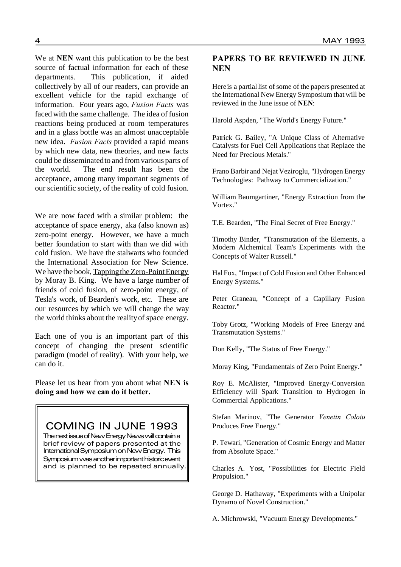We at **NEN** want this publication to be the best source of factual information for each of these departments. This publication, if aided collectively by all of our readers, can provide an excellent vehicle for the rapid exchange of information. Four years ago, *Fusion Facts* was faced with the same challenge. The idea of fusion reactions being produced at room temperatures and in a glass bottle was an almost unacceptable new idea. *Fusion Facts* provided a rapid means by which new data, new theories, and new facts could be disseminatedto and fromvarious parts of the world. The end result has been the acceptance, among many important segments of our scientific society, of the reality of cold fusion.

We are now faced with a similar problem: the acceptance of space energy, aka (also known as) zero-point energy. However, we have a much better foundation to start with than we did with cold fusion. We have the stalwarts who founded the International Association for New Science. We have the book, Tapping the Zero-Point Energy by Moray B. King. We have a large number of friends of cold fusion, of zero-point energy, of Tesla's work, of Bearden's work, etc. These are our resources by which we will change the way the world thinks about the realityof space energy.

Each one of you is an important part of this concept of changing the present scientific paradigm (model of reality). With your help, we can do it.

Please let us hear from you about what **NEN is doing and how we can do it better.**

COMING IN JUNE 1993

The next issue of New Energy News will contain a brief review of papers presented at the International Symposium on New Energy. This Symposium was another important historic event and is planned to be repeated annually.

# **PAPERS TO BE REVIEWED IN JUNE NEN**

Here is a partial list of some of the papers presented at the International New Energy Symposium that will be reviewed in the June issue of **NEN**:

Harold Aspden, "The World's Energy Future."

Patrick G. Bailey, "A Unique Class of Alternative Catalysts for Fuel Cell Applications that Replace the Need for Precious Metals."

Frano Barbir and Nejat Veziroglu, "Hydrogen Energy Technologies: Pathway to Commercialization."

William Baumgartiner, "Energy Extraction from the Vortex."

T.E. Bearden, "The Final Secret of Free Energy."

Timothy Binder, "Transmutation of the Elements, a Modern Alchemical Team's Experiments with the Concepts of Walter Russell."

Hal Fox, "Impact of Cold Fusion and Other Enhanced Energy Systems."

Peter Graneau, "Concept of a Capillary Fusion Reactor."

Toby Grotz, "Working Models of Free Energy and Transmutation Systems."

Don Kelly, "The Status of Free Energy."

Moray King, "Fundamentals of Zero Point Energy."

Roy E. McAlister, "Improved Energy-Conversion Efficiency will Spark Transition to Hydrogen in Commercial Applications."

Stefan Marinov, "The Generator *Venetin Coloiu* Produces Free Energy."

P. Tewari, "Generation of Cosmic Energy and Matter from Absolute Space."

Charles A. Yost, "Possibilities for Electric Field Propulsion."

George D. Hathaway, "Experiments with a Unipolar Dynamo of Novel Construction."

A. Michrowski, "Vacuum Energy Developments."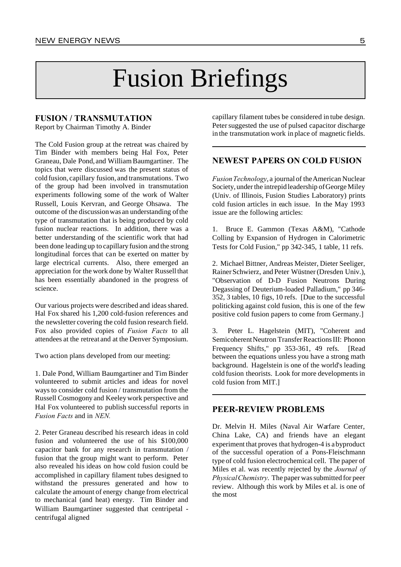# Fusion Briefings

# **FUSION / TRANSMUTATION**

Report by Chairman Timothy A. Binder

The Cold Fusion group at the retreat was chaired by Tim Binder with members being Hal Fox, Peter Graneau, Dale Pond, and WilliamBaumgartiner. The topics that were discussed was the present status of cold fusion, capillary fusion, and transmutations. Two of the group had been involved in transmutation experiments following some of the work of Walter Russell, Louis Kervran, and George Ohsawa. The outcome of the discussionwas an understanding ofthe type of transmutation that is being produced by cold fusion nuclear reactions. In addition, there was a better understanding of the scientific work that had been done leading up to capillary fusion and the strong longitudinal forces that can be exerted on matter by large electrical currents. Also, there emerged an appreciation for the work done by Walter Russell that has been essentially abandoned in the progress of science.

Our various projects were described and ideas shared. Hal Fox shared his 1,200 cold-fusion references and the newsletter covering the cold fusion research field. Fox also provided copies of *Fusion Facts* to all attendees at the retreat and at the Denver Symposium.

Two action plans developed from our meeting:

1. Dale Pond, William Baumgartiner and Tim Binder volunteered to submit articles and ideas for novel ways to consider cold fusion / transmutation from the Russell Cosmogony and Keeleywork perspective and Hal Fox volunteered to publish successful reports in *Fusion Facts* and in *NEN.*

2. Peter Graneau described his research ideas in cold fusion and volunteered the use of his \$100,000 capacitor bank for any research in transmutation / fusion that the group might want to perform. Peter also revealed his ideas on how cold fusion could be accomplished in capillary filament tubes designed to withstand the pressures generated and how to calculate the amount of energy change from electrical to mechanical (and heat) energy. Tim Binder and William Baumgartiner suggested that centripetal centrifugal aligned

capillary filament tubes be considered in tube design. Peter suggested the use of pulsed capacitor discharge in the transmutation work in place of magnetic fields.

# **NEWEST PAPERS ON COLD FUSION**

*FusionTechnology*, a journal of theAmerican Nuclear Society, under the intrepid leadership of George Miley (Univ. of Illinois, Fusion Studies Laboratory) prints cold fusion articles in each issue. In the May 1993 issue are the following articles:

1. Bruce E. Gammon (Texas A&M), "Cathode Colling by Expansion of Hydrogen in Calorimetric Tests for Cold Fusion," pp 342-345, 1 table, 11 refs.

2. Michael Bittner, Andreas Meister, Dieter Seeliger, Rainer Schwierz, and Peter Wüstner (Dresden Univ.), "Observation of D-D Fusion Neutrons During Degassing of Deuterium-loaded Palladium," pp 346- 352, 3 tables, 10 figs, 10 refs. [Due to the successful politicking against cold fusion, this is one of the few positive cold fusion papers to come from Germany.]

3. Peter L. Hagelstein (MIT), "Coherent and Semicoherent Neutron Transfer Reactions III: Phonon Frequency Shifts," pp 353-361, 49 refs. [Read between the equations unless you have a strong math background. Hagelstein is one of the world's leading cold fusion theorists. Look for more developments in cold fusion from MIT.]

# **PEER-REVIEW PROBLEMS**

Dr. Melvin H. Miles (Naval Air Warfare Center, China Lake, CA) and friends have an elegant experiment that proves that hydrogen-4 is abyproduct of the successful operation of a Pons-Fleischmann type of cold fusion electrochemical cell. The paper of Miles et al. was recently rejected by the *Journal of PhysicalChemistry*. The paper was submitted for peer review. Although this work by Miles et al. is one of the most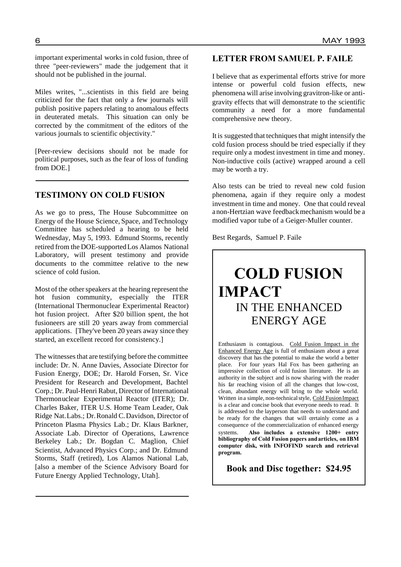important experimental works in cold fusion, three of three "peer-reviewers" made the judgement that it should not be published in the journal.

Miles writes, "...scientists in this field are being criticized for the fact that only a few journals will publish positive papers relating to anomalous effects in deuterated metals. This situation can only be corrected by the commitment of the editors of the various journals to scientific objectivity."

[Peer-review decisions should not be made for political purposes, such as the fear of loss of funding from DOE.]

# **TESTIMONY ON COLD FUSION**

As we go to press, The House Subcommittee on Energy of the House Science, Space, andTechnology Committee has scheduled a hearing to be held Wednesday, May 5, 1993. Edmund Storms, recently retired from the DOE-supportedLos Alamos National Laboratory, will present testimony and provide documents to the committee relative to the new science of cold fusion.

Most of the other speakers at the hearing represent the hot fusion community, especially the ITER (International Thermonuclear Experimental Reactor) hot fusion project. After \$20 billion spent, the hot fusioneers are still 20 years away from commercial applications. [They've been 20 years away since they started, an excellent record for consistency.]

The witnesses that are testifying before the committee include: Dr. N. Anne Davies, Associate Director for Fusion Energy, DOE; Dr. Harold Forsen, Sr. Vice President for Research and Development, Bachtel Corp.; Dr. Paul-Henri Rabut, Director of International Thermonuclear Experimental Reactor (ITER); Dr. Charles Baker, ITER U.S. Home Team Leader, Oak Ridge Nat.Labs.; Dr.Ronald C.Davidson, Director of Princeton Plasma Physics Lab.; Dr. Klaus Barkner, Associate Lab. Director of Operations, Lawrence Berkeley Lab.; Dr. Bogdan C. Maglion, Chief Scientist, Advanced Physics Corp.; and Dr. Edmund Storms, Staff (retired), Los Alamos National Lab, [also a member of the Science Advisory Board for Future Energy Applied Technology, Utah].

# **LETTER FROM SAMUEL P. FAILE**

I believe that as experimental efforts strive for more intense or powerful cold fusion effects, new phenomena will arise involving gravitron-like or antigravity effects that will demonstrate to the scientific community a need for a more fundamental comprehensive new theory.

It is suggested that techniques that might intensify the cold fusion process should be tried especially if they require only a modest investment in time and money. Non-inductive coils (active) wrapped around a cell may be worth a try.

Also tests can be tried to reveal new cold fusion phenomena, again if they require only a modest investment in time and money. One that could reveal anon-Hertzian wave feedbackmechanism would be a modified vapor tube of a Geiger-Muller counter.

Best Regards, Samuel P. Faile

# **COLD FUSION IMPACT** IN THE ENHANCED ENERGY AGE

Enthusiasm is contagious. Cold Fusion Impact in the Enhanced Energy Age is full of enthusiasm about a great discovery that has the potential to make the world a better place. For four years Hal Fox has been gathering an impressive collection of cold fusion literature. He is an authority in the subject and is now sharing with the reader his far reaching vision of all the changes that low-cost, clean, abundant energy will bring to the whole world. Written in a simple, non-technical style, Cold Fusion Impact is a clear and concise book that everyone needs to read. It is addressed to the layperson that needs to understand and be ready for the changes that will certainly come as a consequence of the commercialization of enhanced energy systems. **Also includes a extensive 1200+ entry bibliography of Cold Fusion papers andarticles, on IBM computer disk, with INFOFIND search and retrieval program.**

**Book and Disc together: \$24.95**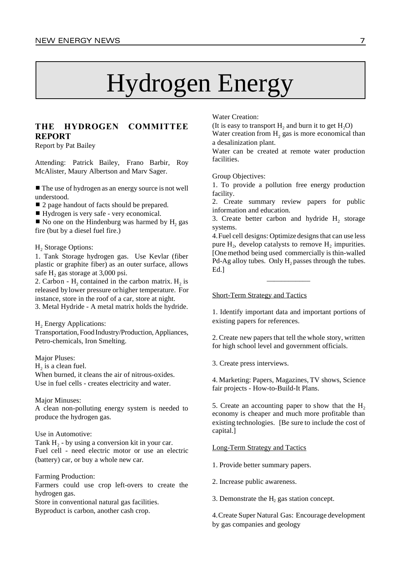# Hydrogen Energy

# **THE HYDROGEN COMMITTEE REPORT**

Report by Pat Bailey

Attending: Patrick Bailey, Frano Barbir, Roy McAlister, Maury Albertson and Marv Sager.

 $\blacksquare$  The use of hydrogen as an energy source is not well understood.

■ 2 page handout of facts should be prepared.

■ Hydrogen is very safe - very economical.

 $\blacksquare$  No one on the Hindenburg was harmed by  $H_2$  gas fire (but by a diesel fuel fire.)

#### H<sub>2</sub> Storage Options:

1. Tank Storage hydrogen gas. Use Kevlar (fiber plastic or graphite fiber) as an outer surface, allows safe  $H_2$  gas storage at 3,000 psi.

2. Carbon -  $H_2$  contained in the carbon matrix.  $H_2$  is released bylower pressure orhigher temperature. For instance, store in the roof of a car, store at night. 3. Metal Hydride - A metal matrix holds the hydride.

 $H<sub>2</sub>$  Energy Applications:

Transportation, Food Industry/Production, Appliances, Petro-chemicals, Iron Smelting.

Major Pluses:

 $H_2$  is a clean fuel.

When burned, it cleans the air of nitrous-oxides. Use in fuel cells - creates electricity and water.

### Major Minuses:

A clean non-polluting energy system is needed to produce the hydrogen gas.

#### Use in Automotive:

Tank  $H_2$  - by using a conversion kit in your car. Fuel cell - need electric motor or use an electric (battery) car, or buy a whole new car.

Farming Production: Farmers could use crop left-overs to create the hydrogen gas.

Store in conventional natural gas facilities. Byproduct is carbon, another cash crop.

Water Creation:

(It is easy to transport  $H_2$  and burn it to get  $H_2O$ ) Water creation from  $H_2$  gas is more economical than a desalinization plant.

Water can be created at remote water production facilities.

Group Objectives:

1. To provide a pollution free energy production facility.

2. Create summary review papers for public information and education.

3. Create better carbon and hydride  $H_2$  storage systems.

4. Fuel cell designs: Optimize designs that can use less pure  $H_2$ , develop catalysts to remove  $H_2$  impurities. [One method being used commercially is thin-walled Pd-Ag alloy tubes. Only  $H_2$  passes through the tubes. Ed.]

\_\_\_\_\_\_\_\_\_\_\_\_

### Short-Term Strategy and Tactics

1. Identify important data and important portions of existing papers for references.

2. Create new papers that tell the whole story, written for high school level and government officials.

3. Create press interviews.

4. Marketing: Papers, Magazines, TV shows, Science fair projects - How-to-Build-It Plans.

5. Create an accounting paper to show that the  $H<sub>2</sub>$ economy is cheaper and much more profitable than existing technologies. [Be sure to include the cost of capital.]

#### Long-Term Strategy and Tactics

1. Provide better summary papers.

2. Increase public awareness.

3. Demonstrate the  $H<sub>2</sub>$  gas station concept.

4.Create Super Natural Gas: Encourage development by gas companies and geology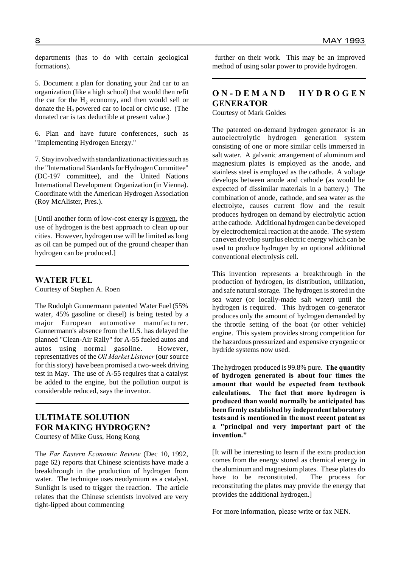departments (has to do with certain geological formations).

5. Document a plan for donating your 2nd car to an organization (like a high school) that would then refit the car for the  $H<sub>2</sub>$  economy, and then would sell or donate the  $H_2$  powered car to local or civic use. (The donated car is tax deductible at present value.)

6. Plan and have future conferences, such as "Implementing Hydrogen Energy."

7. Stayinvolved with standardization activities such as the "International Standards for Hydrogen Committee" (DC-197 committee), and the United Nations International Development Organization (in Vienna). Coordinate with the American Hydrogen Association (Roy McAlister, Pres.).

[Until another form of low-cost energy is proven, the use of hydrogen is the best approach to clean up our cities. However, hydrogen use will be limited as long as oil can be pumped out of the ground cheaper than hydrogen can be produced.]

### **WATER FUEL**

Courtesy of Stephen A. Roen

The Rudolph Gunnermann patented Water Fuel (55% water, 45% gasoline or diesel) is being tested by a major European automotive manufacturer. Gunnermann's absence from the U.S. has delayed the planned "Clean-Air Rally" for A-55 fueled autos and autos using normal gasoline. However, representatives of the *Oil Market Listener*(our source for thisstory) have been promised a two-week driving test in May. The use of A-55 requires that a catalyst be added to the engine, but the pollution output is considerable reduced, says the inventor.

# **ULTIMATE SOLUTION FOR MAKING HYDROGEN?**

Courtesy of Mike Guss, Hong Kong

The *Far Eastern Economic Review* (Dec 10, 1992, page 62) reports that Chinese scientists have made a breakthrough in the production of hydrogen from water. The technique uses neodymium as a catalyst. Sunlight is used to trigger the reaction. The article relates that the Chinese scientists involved are very tight-lipped about commenting

further on their work. This may be an improved method of using solar power to provide hydrogen.

# **O N - D E M A N D H Y D R O G E N GENERATOR**

Courtesy of Mark Goldes

The patented on-demand hydrogen generator is an autoelectrolytic hydrogen generation system consisting of one or more similar cells immersed in salt water. A galvanic arrangement of aluminum and magnesium plates is employed as the anode, and stainless steel is employed as the cathode. A voltage develops between anode and cathode (as would be expected of dissimilar materials in a battery.) The combination of anode, cathode, and sea water as the electrolyte, causes current flow and the result produces hydrogen on demand by electrolytic action atthe cathode. Additional hydrogen can be developed by electrochemical reaction at the anode. The system caneven develop surplus electric energy which can be used to produce hydrogen by an optional additional conventional electrolysis cell.

This invention represents a breakthrough in the production of hydrogen, its distribution, utilization, and safe natural storage. The hydrogen is stored in the sea water (or locally-made salt water) until the hydrogen is required. This hydrogen co-generator produces only the amount of hydrogen demanded by the throttle setting of the boat (or other vehicle) engine. This system provides strong competition for the hazardous pressurized and expensive cryogenic or hydride systems now used.

Thehydrogen produced is 99.8% pure. **The quantity of hydrogen generated is about four times the amount that would be expected from textbook calculations. The fact that more hydrogen is produced than would normally be anticipated has been firmly establishedby independentlaboratory tests and is mentioned in the most recent patent as a "principal and very important part of the invention."**

[It will be interesting to learn if the extra production comes from the energy stored as chemical energy in the aluminumand magnesium plates. These plates do have to be reconstituted. The process for reconstituting the plates may provide the energy that provides the additional hydrogen.]

For more information, please write or fax NEN.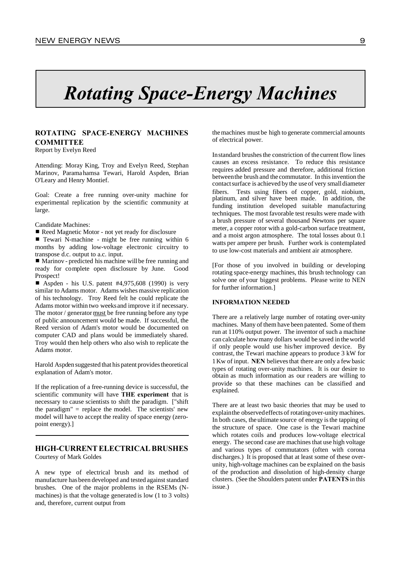# *Rotating Space-Energy Machines*

# **ROTATING SPACE-ENERGY MACHINES COMMITTEE**

Report by Evelyn Reed

Attending: Moray King, Troy and Evelyn Reed, Stephan Marinov, Paramahamsa Tewari, Harold Aspden, Brian O'Leary and Henry Montief.

Goal: Create a free running over-unity machine for experimental replication by the scientific community at large.

#### Candidate Machines:

■ Reed Magnetic Motor - not yet ready for disclosure

 $\blacksquare$  Tewari N-machine - might be free running within 6 months by adding low-voltage electronic circuitry to transpose d.c. output to a.c. input.

 $\blacksquare$  Marinov - predicted his machine will be free running and ready for complete open disclosure by June. Good Prospect!

■ Aspden - his U.S. patent  $#4,975,608$  (1990) is very similar to Adams motor. Adams wishes massive replication of his technology. Troy Reed felt he could replicate the Adams motor within two weeks and improve it if necessary. The motor / generator must be free running before any type of public announcement would be made. If successful, the Reed version of Adam's motor would be documented on computer CAD and plans would be immediately shared. Troy would then help others who also wish to replicate the Adams motor.

Harold Aspden suggested that his patent provides theoretical explanation of Adam's motor.

If the replication of a free-running device is successful, the scientific community will have **THE experiment** that is necessary to cause scientists to shift the paradigm. ["shift the paradigm"  $=$  replace the model. The scientists' new model will have to accept the reality of space energy (zeropoint energy).]

#### **HIGH-CURRENT ELECTRICAL BRUSHES** Courtesy of Mark Goldes

A new type of electrical brush and its method of manufacture has been developed and tested against standard brushes. One of the major problems in the RSEMs (Nmachines) is that the voltage generated is low (1 to 3 volts) and, therefore, current output from

themachines must be high to generate commercial amounts of electrical power.

Instandard brushes the constriction of the current flow lines causes an excess resistance. To reduce this resistance requires added pressure and therefore, additional friction betweenthe brush and the commutator. In this invention the contactsurface is achieved by the useof very smalldiameter fibers. Tests using fibers of copper, gold, niobium, platinum, and silver have been made. In addition, the funding institution developed suitable manufacturing techniques. The most favorable test results were made with a brush pressure of several thousand Newtons per square meter, a copper rotor with a gold-carbon surface treatment, and a moist argon atmosphere. The total losses about 0.1 watts per ampere per brush. Further work is contemplated to use low-cost materials and ambient air atmosphere.

[For those of you involved in building or developing rotating space-energy machines, this brush technology can solve one of your biggest problems. Please write to NEN for further information.]

#### **INFORMATION NEEDED**

There are a relatively large number of rotating over-unity machines. Many of them have been patented. Some of them run at 110% output power. The inventor of such a machine can calculate howmany dollars would be saved in theworld if only people would use his/her improved device. By contrast, the Tewari machine appears to produce 3 kW for 1Kw of input. **NEN** believesthat there are only a few basic types of rotating over-unity machines. It is our desire to obtain as much information as our readers are willing to provide so that these machines can be classified and explained.

There are at least two basic theories that may be used to explainthe observedeffects of rotatingover-unity machines. In both cases, the ultimate source of energy isthe tapping of the structure of space. One case is the Tewari machine which rotates coils and produces low-voltage electrical energy. The second case are machines that use high voltage and various types of commutators (often with corona discharges.) It is proposed that at least some of these overunity, high-voltage machines can be explained on the basis of the production and dissolution of high-density charge clusters. (See the Shoulders patent under **PATENTS** in this issue.)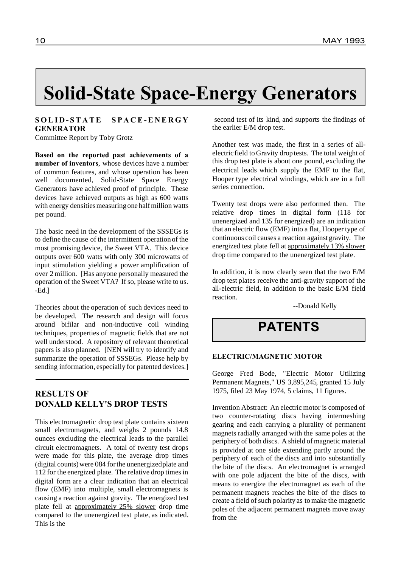# **Solid-State Space-Energy Generators**

# **S O L I D - S T A T E S P A C E - E N E R G Y GENERATOR**

Committee Report by Toby Grotz

**Based on the reported past achievements of a number of inventors**, whose devices have a number of common features, and whose operation has been well documented, Solid-State Space Energy Generators have achieved proof of principle. These devices have achieved outputs as high as 600 watts with energy densities measuring one half million watts per pound.

The basic need in the development of the SSSEGs is to define the cause of the intermittent operation of the most promising device, the Sweet VTA. This device outputs over 600 watts with only 300 microwatts of input stimulation yielding a power amplification of over 2 million. [Has anyone personally measured the operation of the Sweet VTA? If so, please write to us. -Ed.]

Theories about the operation of such devices need to be developed. The research and design will focus around bifilar and non-inductive coil winding techniques, properties of magnetic fields that are not well understood. A repository of relevant theoretical papers is also planned. [NEN will try to identify and summarize the operation of SSSEGs. Please help by sending information, especially for patented devices.]

# **RESULTS OF DONALD KELLY'S DROP TESTS**

This electromagnetic drop test plate contains sixteen small electromagnets, and weighs 2 pounds 14.8 ounces excluding the electrical leads to the parallel circuit electromagnets. A total of twenty test drops were made for this plate, the average drop times (digital counts)were 084 forthe unenergizedplate and 112 for the energized plate. The relative drop times in digital form are a clear indication that an electrical flow (EMF) into multiple, small electromagnets is causing a reaction against gravity. The energized test plate fell at approximately 25% slower drop time compared to the unenergized test plate, as indicated. This is the

second test of its kind, and supports the findings of the earlier E/M drop test.

Another test was made, the first in a series of allelectric field to Gravity drop tests. The total weight of this drop test plate is about one pound, excluding the electrical leads which supply the EMF to the flat, Hooper type electrical windings, which are in a full series connection.

Twenty test drops were also performed then. The relative drop times in digital form (118 for unenergized and 135 for energized) are an indication that an electric flow (EMF) into a flat, Hooper type of continuous coil causes a reaction against gravity. The energized test plate fell at approximately 13% slower drop time compared to the unenergized test plate.

In addition, it is now clearly seen that the two E/M drop test plates receive the anti-gravity support of the all-electric field, in addition to the basic E/M field reaction.

--Donald Kelly

# **PATENTS**

### **ELECTRIC/MAGNETIC MOTOR**

George Fred Bode, "Electric Motor Utilizing Permanent Magnets," US 3,895,245, granted 15 July 1975, filed 23 May 1974, 5 claims, 11 figures.

Invention Abstract: An electric motor is composed of two counter-rotating discs having intermeshing gearing and each carrying a plurality of permanent magnets radially arranged with the same poles at the periphery of both discs. A shield of magnetic material is provided at one side extending partly around the periphery of each of the discs and into substantially the bite of the discs. An electromagnet is arranged with one pole adjacent the bite of the discs, with means to energize the electromagnet as each of the permanent magnets reaches the bite of the discs to create a field of such polarity as to make the magnetic poles of the adjacent permanent magnets move away from the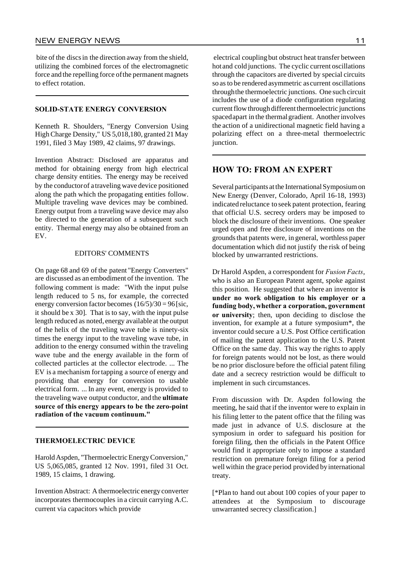bite of the discsin the direction away from the shield, utilizing the combined forces of the electromagnetic force and the repelling force ofthe permanent magnets to effect rotation.

#### **SOLID-STATE ENERGY CONVERSION**

Kenneth R. Shoulders, "Energy Conversion Using HighCharge Density," US 5,018,180, granted 21 May 1991, filed 3 May 1989, 42 claims, 97 drawings.

Invention Abstract: Disclosed are apparatus and method for obtaining energy from high electrical charge density entities. The energy may be received by the conductorof a traveling wave device positioned along the path which the propagating entities follow. Multiple traveling wave devices may be combined. Energy output from a traveling wave device may also be directed to the generation of a subsequent such entity. Thermal energy may also be obtained from an EV.

#### EDITORS' COMMENTS

On page 68 and 69 of the patent "Energy Converters" are discussed as an embodiment of the invention. The following comment is made: "With the input pulse length reduced to 5 ns, for example, the corrected energy conversion factor becomes  $(16/5)/30 = 96$  [sic, it should be x 30]. That is to say, with the input pulse length reduced as noted, energy available at the output of the helix of the traveling wave tube is ninety-six times the energy input to the traveling wave tube, in addition to the energy consumed within the traveling wave tube and the energy available in the form of collected particles at the collector electrode. ... The EV is a mechanism fortapping a source of energy and providing that energy for conversion to usable electrical form. ... In any event, energy is provided to the traveling wave output conductor, and the **ultimate source of this energy appears to be the zero-point radiation of the vacuum continuum."**

# **THERMOELECTRIC DEVICE**

Harold Aspden, "Thermoelectric Energy Conversion," US 5,065,085, granted 12 Nov. 1991, filed 31 Oct. 1989, 15 claims, 1 drawing.

Invention Abstract: A thermoelectric energy converter incorporates thermocouples in a circuit carrying A.C. current via capacitors which provide

electrical coupling but obstruct heat transfer between hot and cold junctions. The cyclic current oscillations through the capacitors are diverted by special circuits so asto be rendered asymmetric ascurrent oscillations throughthe thermoelectric junctions. One such circuit includes the use of a diode configuration regulating current flow through different thermoelectric junctions spaced apart in the thermal gradient. Another involves the action of a unidirectional magnetic field having a polarizing effect on a three-metal thermoelectric junction.

# **HOW TO: FROM AN EXPERT**

Several participants at the International Symposium on New Energy (Denver, Colorado, April 16-18, 1993) indicated reluctance to seek patent protection, fearing that official U.S. secrecy orders may be imposed to block the disclosure of their inventions. One speaker urged open and free disclosure of inventions on the groundsthat patents were, in general, worthless paper documentation which did not justify the risk of being blocked by unwarranted restrictions.

Dr Harold Aspden, a correspondent for *Fusion Facts*, who is also an European Patent agent, spoke against this position. He suggested that where an inventor **is under no work obligation to his employer or a funding body, whether a corporation, government or university**; then, upon deciding to disclose the invention, for example at a future symposium\*, the inventor could secure a U.S. Post Office certification of mailing the patent application to the U.S. Patent Office on the same day. This way the rights to apply for foreign patents would not be lost, as there would be no prior disclosure before the official patent filing date and a secrecy restriction would be difficult to implement in such circumstances.

From discussion with Dr. Aspden following the meeting, he said that if the inventor were to explain in his filing letter to the patent office that the filing was made just in advance of U.S. disclosure at the symposium in order to safeguard his position for foreign filing, then the officials in the Patent Office would find it appropriate only to impose a standard restriction on premature foreign filing for a period well within the grace period provided by international treaty.

[\*Plan to hand out about 100 copies of your paper to attendees at the Symposium to discourage unwarranted secrecy classification.]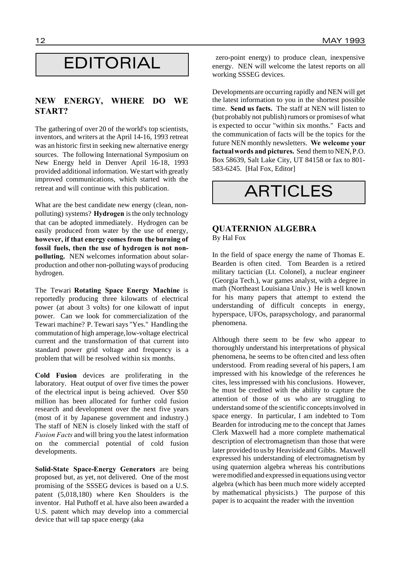# EDITORIAL

# **NEW ENERGY, WHERE DO WE START?**

The gathering of over 20 of the world's top scientists, inventors, and writers at the April 14-16, 1993 retreat was an historic first in seeking new alternative energy sources. The following International Symposium on New Energy held in Denver April 16-18, 1993 provided additional information. We start with greatly improved communications, which started with the retreat and will continue with this publication.

What are the best candidate new energy (clean, nonpolluting) systems? **Hydrogen** isthe only technology that can be adopted immediately. Hydrogen can be easily produced from water by the use of energy, **however, if that energy comesfrom the burning of fossil fuels, then the use of hydrogen is not nonpolluting.** NEN welcomes information about solarproduction and other non-polluting waysof producing hydrogen.

The Tewari **Rotating Space Energy Machine** is reportedly producing three kilowatts of electrical power (at about 3 volts) for one kilowatt of input power. Can we look for commercialization of the Tewari machine? P. Tewari says "Yes." Handling the commutation of high amperage,low-voltage electrical current and the transformation of that current into standard power grid voltage and frequency is a problem that will be resolved within six months.

**Cold Fusion** devices are proliferating in the laboratory. Heat output of over five times the power of the electrical input is being achieved. Over \$50 million has been allocated for further cold fusion research and development over the next five years (most of it by Japanese government and industry.) The staff of NEN is closely linked with the staff of *Fusion Facts* and will bring you the latest information on the commercial potential of cold fusion developments.

**Solid-State Space-Energy Generators** are being proposed but, as yet, not delivered. One of the most promising of the SSSEG devices is based on a U.S. patent (5,018,180) where Ken Shoulders is the inventor. Hal Puthoff et al. have also been awarded a U.S. patent which may develop into a commercial device that will tap space energy (aka

zero-point energy) to produce clean, inexpensive energy. NEN will welcome the latest reports on all working SSSEG devices.

Developments are occurring rapidly and NEN will get the latest information to you in the shortest possible time. **Send us facts.** The staff at NEN will listen to (but probably not publish) rumors or promisesof what is expected to occur "within six months." Facts and the communication of facts will be the topics for the future NEN monthly newsletters. **We welcome your factualwords and pictures.** Send themto NEN,P.O. Box 58639, Salt Lake City, UT 84158 or fax to 801- 583-6245. [Hal Fox, Editor]

**ARTICLES** 

# **QUATERNION ALGEBRA** By Hal Fox

In the field of space energy the name of Thomas E. Bearden is often cited. Tom Bearden is a retired military tactician (Lt. Colonel), a nuclear engineer (Georgia Tech.), war games analyst, with a degree in math (Northeast Louisiana Univ.) He is well known for his many papers that attempt to extend the understanding of difficult concepts in energy, hyperspace, UFOs, parapsychology, and paranormal phenomena.

Although there seem to be few who appear to thoroughly understand his interpretations of physical phenomena, he seems to be often cited and less often understood. From reading several of his papers, I am impressed with his knowledge of the references he cites, lessimpressed with his conclusions. However, he must be credited with the ability to capture the attention of those of us who are struggling to understand some of the scientific conceptsinvolved in space energy. In particular, I am indebted to Tom Bearden for introducing me to the concept that James Clerk Maxwell had a more complete mathematical description of electromagnetism than those that were later provided to us by Heavisideand Gibbs. Maxwell expressed his understanding of electromagnetism by using quaternion algebra whereas his contributions weremodifiedand expressed in equations using vector algebra (which has been much more widely accepted by mathematical physicists.) The purpose of this paper is to acquaint the reader with the invention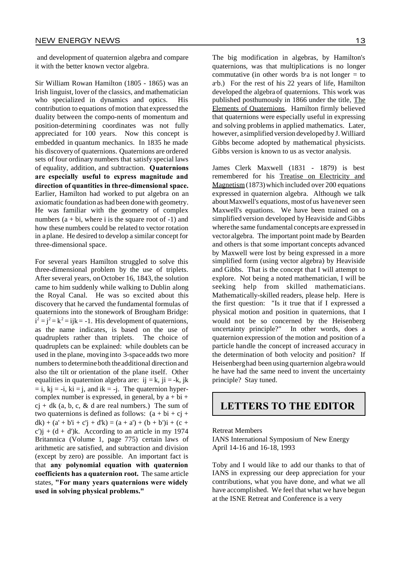and development of quaternion algebra and compare it with the better known vector algebra.

Sir William Rowan Hamilton (1805 - 1865) was an Irish linguist, lover of the classics, and mathematician who specialized in dynamics and optics. His contribution to equations ofmotion that expressed the duality between the compo-nents of momentum and position-determining coordinates was not fully appreciated for 100 years. Now this concept is embedded in quantum mechanics. In 1835 he made his discoveryof quaternions. Quaternions are ordered sets of four ordinary numbers that satisfy special laws of equality, addition, and subtraction. **Quaternions are especially useful to express magnitude and direction of quantities in three-dimensional space.** Earlier, Hamilton had worked to put algebra on an axiomatic foundation as had been donewith geometry. He was familiar with the geometry of complex numbers  $(a + bi, where i is the square root of -1)$  and how these numbers could be related to vector rotation in aplane. He desired to develop a similar concept for three-dimensional space.

For several years Hamilton struggled to solve this three-dimensional problem by the use of triplets. After several years, onOctober 16, 1843, the solution came to him suddenly while walking to Dublin along the Royal Canal. He was so excited about this discovery that he carved the fundamental formulas of quaternions into the stonework of Brougham Bridge:  $i^2 = j^2 = k^2 = ijk = -1$ . His development of quaternions, as the name indicates, is based on the use of quadruplets rather than triplets. The choice of quadruplets can be explained: while doublets can be used in the plane, moving into 3-space adds two more numbers to determineboth theadditional direction and also the tilt or orientation of the plane itself. Other equalities in quaternion algebra are: ij = k, ji = -k, jk  $=$  i,  $ki = -i$ ,  $ki = j$ , and  $ik = -j$ . The quaternion hypercomplex number is expressed, in general, by  $a + bi +$  $c_j + dk$  (a, b, c, & d are real numbers.) The sum of two quaternions is defined as follows:  $(a + bi + cj + j)$  $dk$ ) + (a' + b'i + c'j + d'k) = (a + a') + (b + b')i + (c +  $c'$ ) $j + (d + d')$ k. According to an article in my 1974 Britannica (Volume 1, page 775) certain laws of arithmetic are satisfied, and subtraction and division (except by zero) are possible. An important fact is that **any polynomial equation with quaternion coefficients has a quaternion root.** The same article states, **"For many years quaternions were widely used in solving physical problems."**

The big modification in algebras, by Hamilton's quaternions, was that multiplications is no longer commutative (in other words b a is not longer  $=$  to ab.) For the rest of his 22 years of life, Hamilton developed the algebra of quaternions. This work was published posthumously in 1866 under the title, The Elements of Quaternions. Hamilton firmly believed that quaternions were especially useful in expressing and solving problems in applied mathematics. Later, however, a simplified version developed by J. Williard Gibbs become adopted by mathematical physicists. Gibbs version is known to us as vector analysis.

James Clerk Maxwell (1831 - 1879) is best remembered for his Treatise on Electricity and Magnetism(1873)which included over 200 equations expressed in quaternion algebra. Although we talk aboutMaxwell's equations, mostofus havenever seen Maxwell's equations. We have been trained on a simplified version developed by Heaviside and Gibbs wherethe same fundamental concepts are expressed in vector algebra. The important point made by Bearden and others is that some important concepts advanced by Maxwell were lost by being expressed in a more simplified form (using vector algebra) by Heaviside and Gibbs. That is the concept that I will attempt to explore. Not being a noted mathematician, I will be seeking help from skilled mathematicians. Mathematically-skilled readers, please help. Here is the first question: "Is it true that if I expressed a physical motion and position in quaternions, that I would not be so concerned by the Heisenberg uncertainty principle?" In other words, does a quaternion expression of the motion and position of a particle handle the concept of increased accuracy in the determination of both velocity and position? If Heisenberghad been using quarternion algebrawould he have had the same need to invent the uncertainty principle? Stay tuned.

# **LETTERS TO THE EDITOR**

#### Retreat Members

IANS International Symposium of New Energy April 14-16 and 16-18, 1993

Toby and I would like to add our thanks to that of IANS in expressing our deep appreciation for your contributions, what you have done, and what we all have accomplished. We feel that what we have begun at the ISNE Retreat and Conference is a very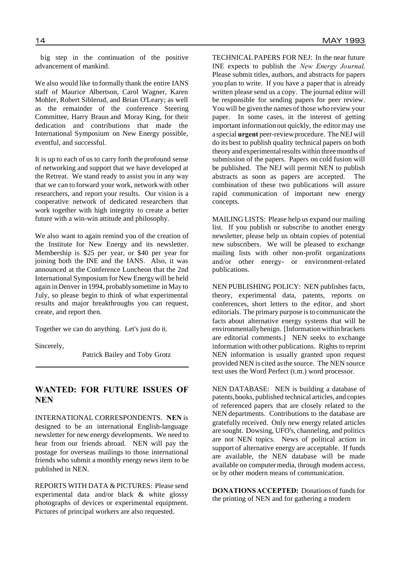big step in the continuation of the positive advancement of mankind.

We also would like to formally thank the entire IANS staff of Maurice Albertson, Carol Wagner, Karen Mohler, Robert Siblerud, and Brian O'Leary; as well as the remainder of the conference Steering Committee, Harry Braun and Moray King, for their dedication and contributions that made the International Symposium on New Energy possible, eventful, and successful.

It is up to each of us to carry forth the profound sense of networking and support that we have developed at the Retreat. We stand ready to assist you in any way that we can to forward your work, network with other researchers, and report your results. Our vision is a cooperative network of dedicated researchers that work together with high integrity to create a better future with a win-win attitude and philosophy.

We also want to again remind you of the creation of the Institute for New Energy and its newsletter. Membership is \$25 per year, or \$40 per year for joining both the INE and the IANS. Also, it was announced at the Conference Luncheon that the 2nd International Symposium for New Energy will be held again in Denver in 1994, probablysometime in May to July, so please begin to think of what experimental results and major breakthroughs you can request, create, and report then.

Together we can do anything. Let's just do it.

Sincerely,

Patrick Bailey and Toby Grotz

# **WANTED: FOR FUTURE ISSUES OF NEN**

INTERNATIONAL CORRESPONDENTS. **NEN** is designed to be an international English-language newsletter for new energy developments. We need to hear from our friends abroad. NEN will pay the postage for overseas mailings to those international friends who submit a monthly energy news item to be published in NEN.

REPORTS WITH DATA & PICTURES: Please send experimental data and/or black & white glossy photographs of devices or experimental equipment. Pictures of principal workers are also requested.

TECHNICAL PAPERS FOR NEJ: In the near future INE expects to publish the *New Energy Journal*. Please submit titles, authors, and abstracts for papers you plan to write. If you have a paper that is already written please send us a copy. The journal editor will be responsible for sending papers for peer review. You will be given the names of those who review your paper. In some cases, in the interest of getting important informationout quickly, the editor may use a special **urgent** peer-reviewprocedure. The NEJ will do its best to publish quality technical papers on both theory and experimentalresults within threemonths of submission of the papers. Papers on cold fusion will be published. The NEJ will permit NEN to publish abstracts as soon as papers are accepted. The combination of these two publications will assure rapid communication of important new energy concepts.

MAILING LISTS: Please help us expand our mailing list. If you publish or subscribe to another energy newsletter, please help us obtain copies of potential new subscribers. We will be pleased to exchange mailing lists with other non-profit organizations and/or other energy- or environment-related publications.

NEN PUBLISHING POLICY: NEN publishes facts, theory, experimental data, patents, reports on conferences, short letters to the editor, and short editorials. The primary purpose is to communicate the facts about alternative energy systems that will be environmentallybenign. [Information within brackets are editorial comments.] NEN seeks to exchange information with other publications. Rights to reprint NEN information is usually granted upon request provided NEN is cited asthe source. The NEN source text uses the Word Perfect (t.m.) word processor.

NEN DATABASE: NEN is building a database of patents,books, published technical articles, and copies of referenced papers that are closely related to the NEN departments. Contributions to the database are gratefully received. Only new energy related articles are sought. Dowsing, UFO's, channeling, and politics are not NEN topics. News of political action in support of alternative energy are acceptable. If funds are available, the NEN database will be made available on computer media, through modem access, or by other modern means of communication.

**DONATIONSACCEPTED:** Donations of funds for the printing of NEN and for gathering a modern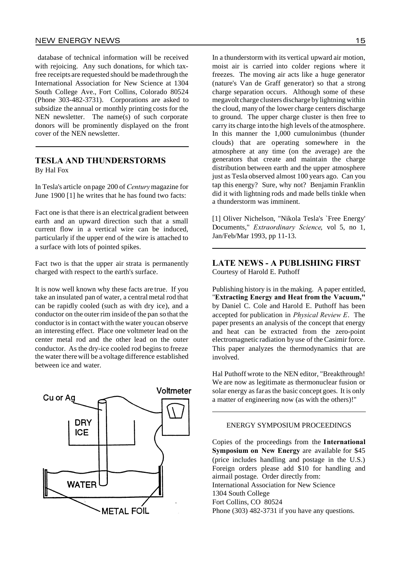database of technical information will be received with rejoicing. Any such donations, for which taxfree receipts are requested should be madethrough the International Association for New Science at 1304 South College Ave., Fort Collins, Colorado 80524 (Phone 303-482-3731). Corporations are asked to subsidize the annual or monthly printing costs for the NEN newsletter. The name(s) of such corporate donors will be prominently displayed on the front cover of the NEN newsletter.

# **TESLA AND THUNDERSTORMS** By Hal Fox

In Tesla's article onpage 200 of *Century*magazine for June 1900 [1] he writes that he has found two facts:

Fact one is that there is an electrical gradient between earth and an upward direction such that a small current flow in a vertical wire can be induced, particularly if the upper end of the wire is attached to a surface with lots of pointed spikes.

Fact two is that the upper air strata is permanently charged with respect to the earth's surface.

It is now well known why these facts are true. If you take an insulated pan of water, a central metal rod that can be rapidly cooled (such as with dry ice), and a conductor on the outer rim insideof the pan so that the conductor is in contact with the water you can observe an interesting effect. Place one voltmeter lead on the center metal rod and the other lead on the outer conductor. As the dry-ice cooled rod begins to freeze the water therewill be avoltage difference established between ice and water.



In a thunderstormwith its vertical upward air motion, moist air is carried into colder regions where it freezes. The moving air acts like a huge generator (nature's Van de Graff generator) so that a strong charge separation occurs. Although some of these megavolt charge clusters discharge by lightning within the cloud, many of the lower charge centers discharge to ground. The upper charge cluster is then free to carry its charge intothe high levels of the atmosphere. In this manner the 1,000 cumulonimbus (thunder clouds) that are operating somewhere in the atmosphere at any time (on the average) are the generators that create and maintain the charge distribution between earth and the upper atmosphere just as Tesla observed almost 100 years ago. Can you tap this energy? Sure, why not? Benjamin Franklin did it with lightning rods and made bells tinkle when a thunderstorm was imminent.

[1] Oliver Nichelson, "Nikola Tesla's `Free Energy' Documents," *Extraordinary Science*, vol 5, no 1, Jan/Feb/Mar 1993, pp 11-13.

# **LATE NEWS - A PUBLISHING FIRST** Courtesy of Harold E. Puthoff

Publishing history is in the making. A paper entitled, "**Extracting Energy and Heat from the Vacuum,"** by Daniel C. Cole and Harold E. Puthoff has been accepted for publication in *Physical Review E*. The paper presents an analysis of the concept that energy and heat can be extracted from the zero-point electromagnetic radiation byuse of the Casimir force. This paper analyzes the thermodynamics that are involved.

Hal Puthoff wrote to the NEN editor, "Breakthrough! We are now as legitimate as thermonuclear fusion or solar energy as faras the basic concept goes. It is only a matter of engineering now (as with the others)!"

#### ENERGY SYMPOSIUM PROCEEDINGS

Copies of the proceedings from the **International Symposium on New Energy** are available for \$45 (price includes handling and postage in the U.S.) Foreign orders please add \$10 for handling and airmail postage. Order directly from: International Association for New Science 1304 South College Fort Collins, CO 80524 Phone (303) 482-3731 if you have any questions.